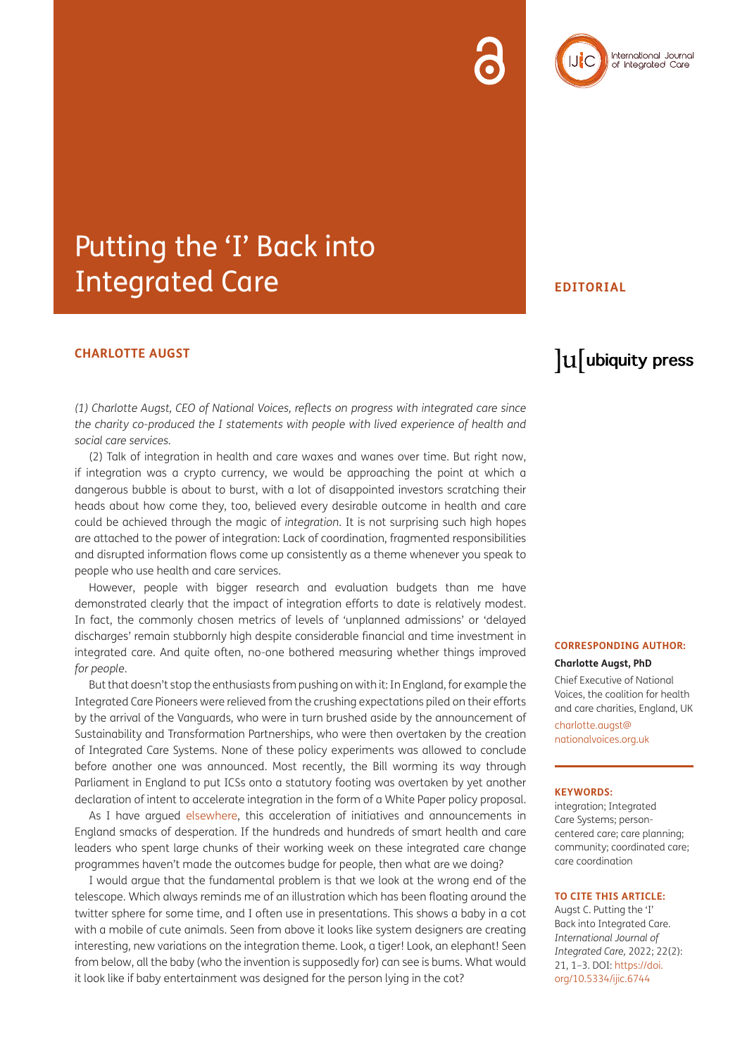

## Putting the 'I' Back into Integrated Care

#### **CHARLOTTE AUGST**

*(1) Charlotte Augst, CEO of National Voices, reflects on progress with integrated care since the charity co-produced the I statements with people with lived experience of health and social care services.*

(2) Talk of integration in health and care waxes and wanes over time. But right now, if integration was a crypto currency, we would be approaching the point at which a dangerous bubble is about to burst, with a lot of disappointed investors scratching their heads about how come they, too, believed every desirable outcome in health and care could be achieved through the magic of *integration*. It is not surprising such high hopes are attached to the power of integration: Lack of coordination, fragmented responsibilities and disrupted information flows come up consistently as a theme whenever you speak to people who use health and care services.

However, people with bigger research and evaluation budgets than me have demonstrated clearly that the impact of integration efforts to date is relatively modest. In fact, the commonly chosen metrics of levels of 'unplanned admissions' or 'delayed discharges' remain stubbornly high despite considerable financial and time investment in integrated care. And quite often, no-one bothered measuring whether things improved *for people*.

But that doesn't stop the enthusiasts from pushing on with it: In England, for example the Integrated Care Pioneers were relieved from the crushing expectations piled on their efforts by the arrival of the Vanguards, who were in turn brushed aside by the announcement of Sustainability and Transformation Partnerships, who were then overtaken by the creation of Integrated Care Systems. None of these policy experiments was allowed to conclude before another one was announced. Most recently, the Bill worming its way through Parliament in England to put ICSs onto a statutory footing was overtaken by yet another declaration of intent to accelerate integration in the form of a White Paper policy proposal.

As I have argued [elsewhere](https://www.hsj.co.uk/policy-and-regulation/publishing-an-integration-white-paper-smacks-of-desperation/7031900.article), this acceleration of initiatives and announcements in England smacks of desperation. If the hundreds and hundreds of smart health and care leaders who spent large chunks of their working week on these integrated care change programmes haven't made the outcomes budge for people, then what are we doing?

I would argue that the fundamental problem is that we look at the wrong end of the telescope. Which always reminds me of an illustration which has been floating around the twitter sphere for some time, and I often use in presentations. This shows a baby in a cot with a mobile of cute animals. Seen from above it looks like system designers are creating interesting, new variations on the integration theme. Look, a tiger! Look, an elephant! Seen from below, all the baby (who the invention is supposedly for) can see is bums. What would it look like if baby entertainment was designed for the person lying in the cot?

#### **EDITORIAL**

### $\mathrm{u}$  ubiquity press

#### **CORRESPONDING AUTHOR: Charlotte Augst, PhD**

Chief Executive of National Voices, the coalition for health and care charities, England, UK

[charlotte.augst@](mailto:charlotte.augst@nationalvoices.org.uk) [nationalvoices.org.uk](mailto:charlotte.augst@nationalvoices.org.uk)

#### **KEYWORDS:**

integration; Integrated Care Systems; personcentered care; care planning; community; coordinated care; care coordination

#### **TO CITE THIS ARTICLE:**

Augst C. Putting the 'I' Back into Integrated Care. *International Journal of Integrated Care,* 2022; 22(2): 21, 1–3. DOI: [https://doi.](https://doi.org/10.5334/ijic.6744) [org/10.5334/ijic.6744](https://doi.org/10.5334/ijic.6744)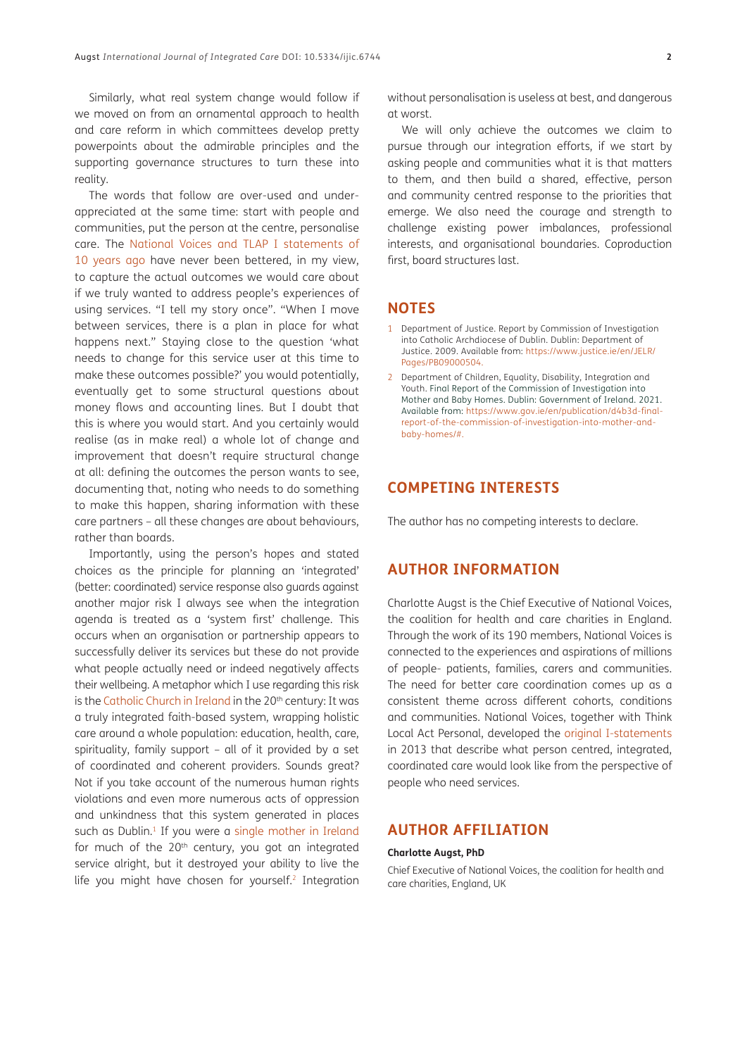Similarly, what real system change would follow if we moved on from an ornamental approach to health and care reform in which committees develop pretty powerpoints about the admirable principles and the supporting governance structures to turn these into reality.

The words that follow are over-used and underappreciated at the same time: start with people and communities, put the person at the centre, personalise care. The [National Voices and TLAP I statements of](https://www.nationalvoices.org.uk/sites/default/files/public/publications/narrative-for-person-centred-coordinated-care.pdf) [10 years ago](https://www.nationalvoices.org.uk/sites/default/files/public/publications/narrative-for-person-centred-coordinated-care.pdf) have never been bettered, in my view, to capture the actual outcomes we would care about if we truly wanted to address people's experiences of using services. "I tell my story once". "When I move between services, there is a plan in place for what happens next." Staying close to the question 'what needs to change for this service user at this time to make these outcomes possible?' you would potentially, eventually get to some structural questions about money flows and accounting lines. But I doubt that this is where you would start. And you certainly would realise (as in make real) a whole lot of change and improvement that doesn't require structural change at all: defining the outcomes the person wants to see, documenting that, noting who needs to do something to make this happen, sharing information with these care partners – all these changes are about behaviours, rather than boards.

Importantly, using the person's hopes and stated choices as the principle for planning an 'integrated' (better: coordinated) service response also guards against another major risk I always see when the integration agenda is treated as a 'system first' challenge. This occurs when an organisation or partnership appears to successfully deliver its services but these do not provide what people actually need or indeed negatively affects their wellbeing. A metaphor which I use regarding this risk is the [Catholic Church in Ireland](https://www.justice.ie/en/JELR/Pages/PB09000504) in the 20<sup>th</sup> century: It was a truly integrated faith-based system, wrapping holistic care around a whole population: education, health, care, spirituality, family support – all of it provided by a set of coordinated and coherent providers. Sounds great? Not if you take account of the numerous human rights violations and even more numerous acts of oppression and unkindness that this system generated in places such as Dublin.<sup>1</sup> If you were a [single mother in Ireland](https://www.gov.ie/en/collection/mbhcoi/?referrer=/mbh.nsf/page/LPRN-BX7L4E15252212-en/$File/Final%20Report.pdf) for much of the  $20<sup>th</sup>$  century, you got an integrated service alright, but it destroyed your ability to live the life you might have chosen for yourself.<sup>2</sup> Integration without personalisation is useless at best, and dangerous at worst.

We will only achieve the outcomes we claim to pursue through our integration efforts, if we start by asking people and communities what it is that matters to them, and then build a shared, effective, person and community centred response to the priorities that emerge. We also need the courage and strength to challenge existing power imbalances, professional interests, and organisational boundaries. Coproduction first, board structures last.

#### **NOTES**

- <span id="page-1-0"></span>1 Department of Justice. Report by Commission of Investigation into Catholic Archdiocese of Dublin. Dublin: Department of Justice. 2009. Available from: [https://www.justice.ie/en/JELR/](https://www.justice.ie/en/JELR/Pages/PB09000504) [Pages/PB09000504.](https://www.justice.ie/en/JELR/Pages/PB09000504)
- <span id="page-1-1"></span>2 Department of Children, Equality, Disability, Integration and Youth. Final Report of the Commission of Investigation into Mother and Baby Homes. Dublin: Government of Ireland. 2021. Available from: [https://www.gov.ie/en/publication/d4b3d-final](https://www.gov.ie/en/publication/d4b3d-final-report-of-the-commission-of-investigation-into-mother-and-baby-homes/# )[report-of-the-commission-of-investigation-into-mother-and](https://www.gov.ie/en/publication/d4b3d-final-report-of-the-commission-of-investigation-into-mother-and-baby-homes/# )[baby-homes/#.](https://www.gov.ie/en/publication/d4b3d-final-report-of-the-commission-of-investigation-into-mother-and-baby-homes/# )

### **COMPETING INTERESTS**

The author has no competing interests to declare.

#### **AUTHOR INFORMATION**

Charlotte Augst is the Chief Executive of National Voices, the coalition for health and care charities in England. Through the work of its 190 members, National Voices is connected to the experiences and aspirations of millions of people- patients, families, carers and communities. The need for better care coordination comes up as a consistent theme across different cohorts, conditions and communities. National Voices, together with Think Local Act Personal, developed the [original I-statements](https://www.nationalvoices.org.uk/publications/our-publications/narrative-person-centred-coordinated-care) in 2013 that describe what person centred, integrated, coordinated care would look like from the perspective of people who need services.

#### **AUTHOR AFFILIATION**

#### **Charlotte Augst, PhD**

Chief Executive of National Voices, the coalition for health and care charities, England, UK